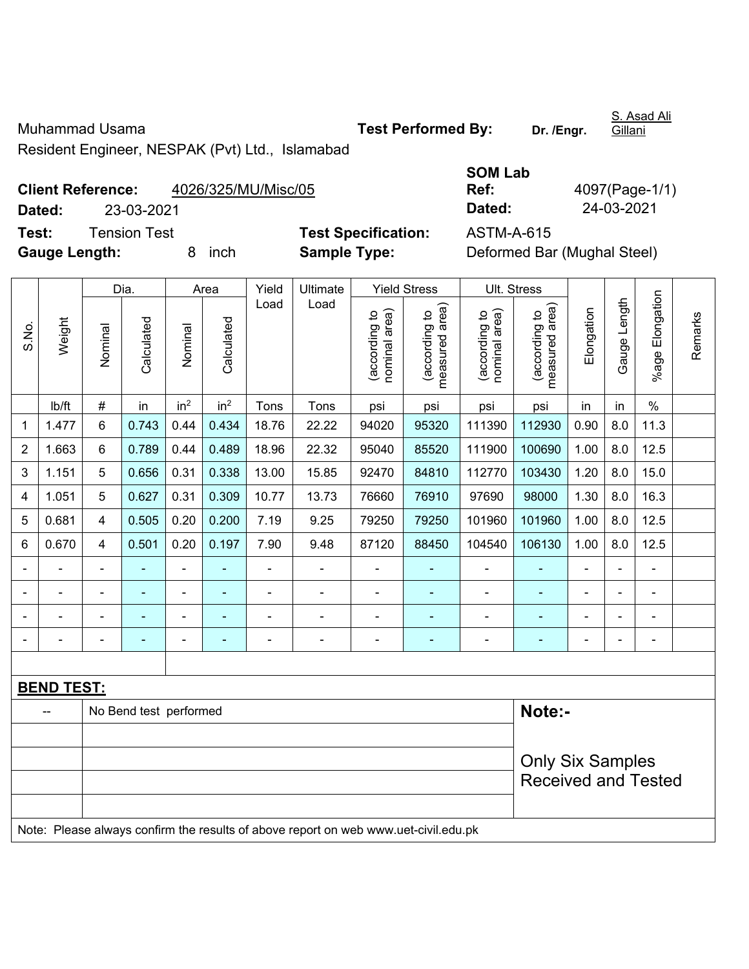Muhammad Usama **Test Performed By:** Dr. /Engr.

S. Asad Ali Gillani

Resident Engineer, NESPAK (Pvt) Ltd., Islamabad

## **Client Reference:** 4026/325/MU/Misc/05 **Dated:** 23-03-2021 **Dated:** 24-03-2021 **Test:** Tension Test **Test Specification:** ASTM-A-615

|              | <b>SOM Lab</b> |
|--------------|----------------|
|              | Ref:           |
|              | Dated:         |
| ecification: | ASTM-A-6       |

**Ref:** 4097(Page-1/1)

**Gauge Length:** 8 inch **Sample Type:** Deformed Bar (Mughal Steel)

|                                                                                     | Weight            |                        | Dia.           |                 | Area            | Yield          | Ultimate       |                                | <b>Yield Stress</b>             | Ult. Stress                    |                                 |                |                |                      |         |  |
|-------------------------------------------------------------------------------------|-------------------|------------------------|----------------|-----------------|-----------------|----------------|----------------|--------------------------------|---------------------------------|--------------------------------|---------------------------------|----------------|----------------|----------------------|---------|--|
| S.No.                                                                               |                   | Nominal                | Calculated     | Nominal         | Calculated      | Load           | Load           | nominal area)<br>(according to | measured area)<br>(according to | nominal area)<br>(according to | (according to<br>measured area) | Elongation     | Gauge Length   | Elongation<br>%age l | Remarks |  |
|                                                                                     | lb/ft             | $\#$                   | in             | in <sup>2</sup> | in <sup>2</sup> | Tons           | Tons           | psi                            | psi                             | psi                            | psi                             | in             | in             | $\%$                 |         |  |
| 1                                                                                   | 1.477             | 6                      | 0.743          | 0.44            | 0.434           | 18.76          | 22.22          | 94020                          | 95320                           | 111390                         | 112930                          | 0.90           | 8.0            | 11.3                 |         |  |
| $\overline{2}$                                                                      | 1.663             | 6                      | 0.789          | 0.44            | 0.489           | 18.96          | 22.32          | 95040                          | 85520                           | 111900                         | 100690                          | 1.00           | 8.0            | 12.5                 |         |  |
| 3                                                                                   | 1.151             | 5                      | 0.656          | 0.31            | 0.338           | 13.00          | 15.85          | 92470                          | 84810                           | 112770                         | 103430                          | 1.20           | 8.0            | 15.0                 |         |  |
| 4                                                                                   | 1.051             | 5                      | 0.627          | 0.31            | 0.309           | 10.77          | 13.73          | 76660                          | 76910                           | 97690                          | 98000                           | 1.30           | 8.0            | 16.3                 |         |  |
| 5                                                                                   | 0.681             | 4                      | 0.505          | 0.20            | 0.200           | 7.19           | 9.25           | 79250                          | 79250                           | 101960                         | 101960                          | 1.00           | 8.0            | 12.5                 |         |  |
| 6                                                                                   | 0.670             | 4                      | 0.501          | 0.20            | 0.197           | 7.90           | 9.48           | 87120                          | 88450                           | 104540                         | 106130                          | 1.00           | 8.0            | 12.5                 |         |  |
|                                                                                     |                   | $\blacksquare$         |                | ä,              | ÷               | $\blacksquare$ | ä,             |                                |                                 | $\overline{a}$                 |                                 | ä,             |                | ä,                   |         |  |
|                                                                                     |                   | $\blacksquare$         | $\blacksquare$ | ÷               | ÷               | $\blacksquare$ | $\blacksquare$ | ä,                             | ٠                               | $\blacksquare$                 | ÷                               | $\blacksquare$ | $\blacksquare$ | $\blacksquare$       |         |  |
|                                                                                     | $\blacksquare$    | $\blacksquare$         | ÷,             | $\blacksquare$  | ÷               |                | $\blacksquare$ | $\blacksquare$                 | ٠                               | $\blacksquare$                 | ٠                               | $\blacksquare$ |                | $\blacksquare$       |         |  |
|                                                                                     |                   | $\blacksquare$         | ۰              | ÷               | ÷               |                |                |                                | ×,                              | $\overline{a}$                 | ÷                               | Ē,             |                | $\blacksquare$       |         |  |
|                                                                                     |                   |                        |                |                 |                 |                |                |                                |                                 |                                |                                 |                |                |                      |         |  |
|                                                                                     | <b>BEND TEST:</b> |                        |                |                 |                 |                |                |                                |                                 |                                |                                 |                |                |                      |         |  |
|                                                                                     | --                | No Bend test performed |                |                 |                 |                |                |                                |                                 |                                |                                 | Note:-         |                |                      |         |  |
|                                                                                     |                   |                        |                |                 |                 |                |                |                                |                                 |                                |                                 |                |                |                      |         |  |
|                                                                                     |                   |                        |                |                 |                 |                |                |                                |                                 |                                | <b>Only Six Samples</b>         |                |                |                      |         |  |
|                                                                                     |                   |                        |                |                 |                 |                |                |                                |                                 | <b>Received and Tested</b>     |                                 |                |                |                      |         |  |
|                                                                                     |                   |                        |                |                 |                 |                |                |                                |                                 |                                |                                 |                |                |                      |         |  |
| Note: Please always confirm the results of above report on web www.uet-civil.edu.pk |                   |                        |                |                 |                 |                |                |                                |                                 |                                |                                 |                |                |                      |         |  |